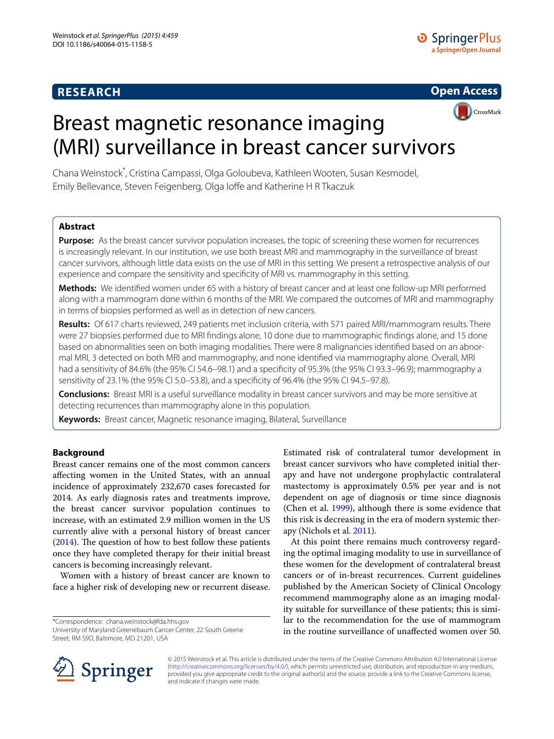# **RESEARCH**



**CrossMark** 

# Breast magnetic resonance imaging (MRI) surveillance in breast cancer survivors

Chana Weinstock\* , Cristina Campassi, Olga Goloubeva, Kathleen Wooten, Susan Kesmodel, Emily Bellevance, Steven Feigenberg, Olga Ioffe and Katherine H R Tkaczuk

## **Abstract**

**Purpose:** As the breast cancer survivor population increases, the topic of screening these women for recurrences is increasingly relevant. In our institution, we use both breast MRI and mammography in the surveillance of breast cancer survivors, although little data exists on the use of MRI in this setting. We present a retrospective analysis of our experience and compare the sensitivity and specificity of MRI vs. mammography in this setting.

**Methods:** We identified women under 65 with a history of breast cancer and at least one follow-up MRI performed along with a mammogram done within 6 months of the MRI. We compared the outcomes of MRI and mammography in terms of biopsies performed as well as in detection of new cancers.

**Results:** Of 617 charts reviewed, 249 patients met inclusion criteria, with 571 paired MRI/mammogram results. There were 27 biopsies performed due to MRI findings alone, 10 done due to mammographic findings alone, and 15 done based on abnormalities seen on both imaging modalities. There were 8 malignancies identified based on an abnormal MRI, 3 detected on both MRI and mammography, and none identified via mammography alone. Overall, MRI had a sensitivity of 84.6% (the 95% CI 54.6–98.1) and a specificity of 95.3% (the 95% CI 93.3–96.9); mammography a sensitivity of 23.1% (the 95% CI 5.0–53.8), and a specificity of 96.4% (the 95% CI 94.5–97.8).

**Conclusions:** Breast MRI is a useful surveillance modality in breast cancer survivors and may be more sensitive at detecting recurrences than mammography alone in this population.

**Keywords:** Breast cancer, Magnetic resonance imaging, Bilateral, Surveillance

## **Background**

Breast cancer remains one of the most common cancers affecting women in the United States, with an annual incidence of approximately 232,670 cases forecasted for 2014. As early diagnosis rates and treatments improve, the breast cancer survivor population continues to increase, with an estimated 2.9 million women in the US currently alive with a personal history of breast cancer ([2014](#page-6-0)). The question of how to best follow these patients once they have completed therapy for their initial breast cancers is becoming increasingly relevant.

Women with a history of breast cancer are known to face a higher risk of developing new or recurrent disease.

\*Correspondence: chana.weinstock@fda.hhs.gov University of Maryland Greenebaum Cancer Center, 22 South Greene Street, RM S9D, Baltimore, MD 21201, USA

Estimated risk of contralateral tumor development in breast cancer survivors who have completed initial therapy and have not undergone prophylactic contralateral mastectomy is approximately 0.5% per year and is not dependent on age of diagnosis or time since diagnosis (Chen et al. [1999](#page-6-1)), although there is some evidence that this risk is decreasing in the era of modern systemic therapy (Nichols et al. [2011](#page-7-0)).

At this point there remains much controversy regarding the optimal imaging modality to use in surveillance of these women for the development of contralateral breast cancers or of in-breast recurrences. Current guidelines published by the American Society of Clinical Oncology recommend mammography alone as an imaging modality suitable for surveillance of these patients; this is similar to the recommendation for the use of mammogram in the routine surveillance of unaffected women over 50.



© 2015 Weinstock et al. This article is distributed under the terms of the Creative Commons Attribution 4.0 International License [\(http://creativecommons.org/licenses/by/4.0/\)](http://creativecommons.org/licenses/by/4.0/), which permits unrestricted use, distribution, and reproduction in any medium, provided you give appropriate credit to the original author(s) and the source, provide a link to the Creative Commons license, and indicate if changes were made.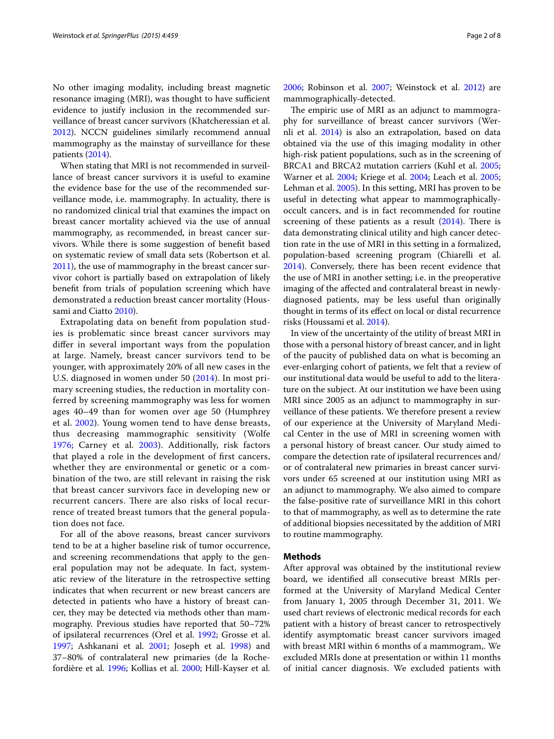No other imaging modality, including breast magnetic resonance imaging (MRI), was thought to have sufficient evidence to justify inclusion in the recommended surveillance of breast cancer survivors (Khatcheressian et al. [2012](#page-6-2)). NCCN guidelines similarly recommend annual mammography as the mainstay of surveillance for these patients ([2014](#page-6-3)).

When stating that MRI is not recommended in surveillance of breast cancer survivors it is useful to examine the evidence base for the use of the recommended surveillance mode, i.e. mammography. In actuality, there is no randomized clinical trial that examines the impact on breast cancer mortality achieved via the use of annual mammography, as recommended, in breast cancer survivors. While there is some suggestion of benefit based on systematic review of small data sets (Robertson et al. [2011](#page-7-1)), the use of mammography in the breast cancer survivor cohort is partially based on extrapolation of likely benefit from trials of population screening which have demonstrated a reduction breast cancer mortality (Houssami and Ciatto [2010\)](#page-6-4).

Extrapolating data on benefit from population studies is problematic since breast cancer survivors may differ in several important ways from the population at large. Namely, breast cancer survivors tend to be younger, with approximately 20% of all new cases in the U.S. diagnosed in women under 50 ([2014\)](#page-6-5). In most primary screening studies, the reduction in mortality conferred by screening mammography was less for women ages 40–49 than for women over age 50 (Humphrey et al. [2002](#page-6-6)). Young women tend to have dense breasts, thus decreasing mammographic sensitivity (Wolfe [1976;](#page-7-2) Carney et al. [2003\)](#page-6-7). Additionally, risk factors that played a role in the development of first cancers, whether they are environmental or genetic or a combination of the two, are still relevant in raising the risk that breast cancer survivors face in developing new or recurrent cancers. There are also risks of local recurrence of treated breast tumors that the general population does not face.

For all of the above reasons, breast cancer survivors tend to be at a higher baseline risk of tumor occurrence, and screening recommendations that apply to the general population may not be adequate. In fact, systematic review of the literature in the retrospective setting indicates that when recurrent or new breast cancers are detected in patients who have a history of breast cancer, they may be detected via methods other than mammography. Previous studies have reported that 50–72% of ipsilateral recurrences (Orel et al. [1992](#page-7-3); Grosse et al. [1997](#page-6-8); Ashkanani et al. [2001;](#page-6-9) Joseph et al. [1998\)](#page-6-10) and 37–80% of contralateral new primaries (de la Rochefordière et al. [1996](#page-6-11); Kollias et al. [2000](#page-6-12); Hill-Kayser et al. [2006](#page-6-13); Robinson et al. [2007](#page-7-4); Weinstock et al. [2012\)](#page-7-5) are mammographically-detected.

The empiric use of MRI as an adjunct to mammography for surveillance of breast cancer survivors (Wernli et al. [2014\)](#page-7-6) is also an extrapolation, based on data obtained via the use of this imaging modality in other high-risk patient populations, such as in the screening of BRCA1 and BRCA2 mutation carriers (Kuhl et al. [2005](#page-6-14); Warner et al. [2004](#page-7-7); Kriege et al. [2004](#page-6-15); Leach et al. [2005](#page-6-16); Lehman et al. [2005\)](#page-7-8). In this setting, MRI has proven to be useful in detecting what appear to mammographicallyoccult cancers, and is in fact recommended for routine screening of these patients as a result  $(2014)$  $(2014)$ . There is data demonstrating clinical utility and high cancer detection rate in the use of MRI in this setting in a formalized, population-based screening program (Chiarelli et al. [2014](#page-6-17)). Conversely, there has been recent evidence that the use of MRI in another setting; i.e. in the preoperative imaging of the affected and contralateral breast in newlydiagnosed patients, may be less useful than originally thought in terms of its effect on local or distal recurrence risks (Houssami et al. [2014\)](#page-6-18).

In view of the uncertainty of the utility of breast MRI in those with a personal history of breast cancer, and in light of the paucity of published data on what is becoming an ever-enlarging cohort of patients, we felt that a review of our institutional data would be useful to add to the literature on the subject. At our institution we have been using MRI since 2005 as an adjunct to mammography in surveillance of these patients. We therefore present a review of our experience at the University of Maryland Medical Center in the use of MRI in screening women with a personal history of breast cancer. Our study aimed to compare the detection rate of ipsilateral recurrences and/ or of contralateral new primaries in breast cancer survivors under 65 screened at our institution using MRI as an adjunct to mammography. We also aimed to compare the false-positive rate of surveillance MRI in this cohort to that of mammography, as well as to determine the rate of additional biopsies necessitated by the addition of MRI to routine mammography.

#### **Methods**

After approval was obtained by the institutional review board, we identified all consecutive breast MRIs performed at the University of Maryland Medical Center from January 1, 2005 through December 31, 2011. We used chart reviews of electronic medical records for each patient with a history of breast cancer to retrospectively identify asymptomatic breast cancer survivors imaged with breast MRI within 6 months of a mammogram,. We excluded MRIs done at presentation or within 11 months of initial cancer diagnosis. We excluded patients with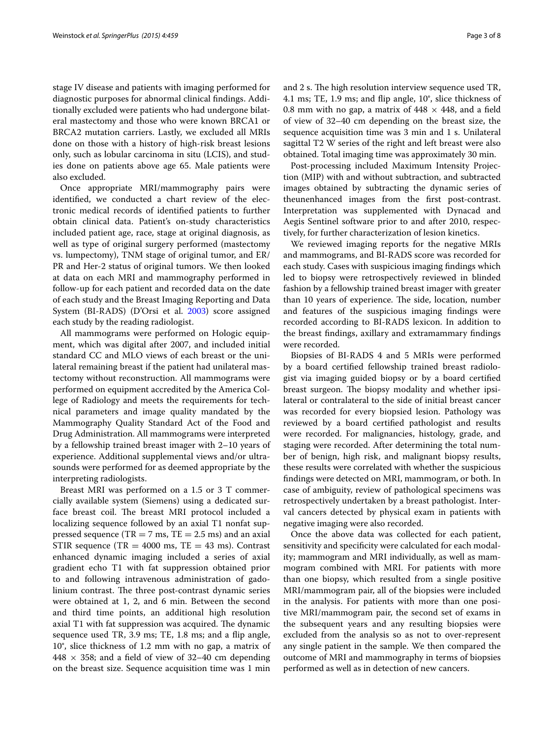stage IV disease and patients with imaging performed for diagnostic purposes for abnormal clinical findings. Additionally excluded were patients who had undergone bilateral mastectomy and those who were known BRCA1 or BRCA2 mutation carriers. Lastly, we excluded all MRIs done on those with a history of high-risk breast lesions only, such as lobular carcinoma in situ (LCIS), and studies done on patients above age 65. Male patients were also excluded.

Once appropriate MRI/mammography pairs were identified, we conducted a chart review of the electronic medical records of identified patients to further obtain clinical data. Patient's on-study characteristics included patient age, race, stage at original diagnosis, as well as type of original surgery performed (mastectomy vs. lumpectomy), TNM stage of original tumor, and ER/ PR and Her-2 status of original tumors. We then looked at data on each MRI and mammography performed in follow-up for each patient and recorded data on the date of each study and the Breast Imaging Reporting and Data System (BI-RADS) (D'Orsi et al. [2003](#page-6-19)) score assigned each study by the reading radiologist.

All mammograms were performed on Hologic equipment, which was digital after 2007, and included initial standard CC and MLO views of each breast or the unilateral remaining breast if the patient had unilateral mastectomy without reconstruction. All mammograms were performed on equipment accredited by the America College of Radiology and meets the requirements for technical parameters and image quality mandated by the Mammography Quality Standard Act of the Food and Drug Administration. All mammograms were interpreted by a fellowship trained breast imager with 2–10 years of experience. Additional supplemental views and/or ultrasounds were performed for as deemed appropriate by the interpreting radiologists.

Breast MRI was performed on a 1.5 or 3 T commercially available system (Siemens) using a dedicated surface breast coil. The breast MRI protocol included a localizing sequence followed by an axial T1 nonfat suppressed sequence (TR  $=$  7 ms, TE  $=$  2.5 ms) and an axial STIR sequence (TR =  $4000$  ms, TE =  $43$  ms). Contrast enhanced dynamic imaging included a series of axial gradient echo T1 with fat suppression obtained prior to and following intravenous administration of gadolinium contrast. The three post-contrast dynamic series were obtained at 1, 2, and 6 min. Between the second and third time points, an additional high resolution axial T1 with fat suppression was acquired. The dynamic sequence used TR, 3.9 ms; TE, 1.8 ms; and a flip angle, 10°, slice thickness of 1.2 mm with no gap, a matrix of  $448 \times 358$ ; and a field of view of 32–40 cm depending on the breast size. Sequence acquisition time was 1 min and 2 s. The high resolution interview sequence used TR, 4.1 ms; TE, 1.9 ms; and flip angle, 10°, slice thickness of 0.8 mm with no gap, a matrix of  $448 \times 448$ , and a field of view of 32–40 cm depending on the breast size, the sequence acquisition time was 3 min and 1 s. Unilateral sagittal T2 W series of the right and left breast were also obtained. Total imaging time was approximately 30 min.

Post-processing included Maximum Intensity Projection (MIP) with and without subtraction, and subtracted images obtained by subtracting the dynamic series of theunenhanced images from the first post-contrast. Interpretation was supplemented with Dynacad and Aegis Sentinel software prior to and after 2010, respectively, for further characterization of lesion kinetics.

We reviewed imaging reports for the negative MRIs and mammograms, and BI-RADS score was recorded for each study. Cases with suspicious imaging findings which led to biopsy were retrospectively reviewed in blinded fashion by a fellowship trained breast imager with greater than 10 years of experience. The side, location, number and features of the suspicious imaging findings were recorded according to BI-RADS lexicon. In addition to the breast findings, axillary and extramammary findings were recorded.

Biopsies of BI-RADS 4 and 5 MRIs were performed by a board certified fellowship trained breast radiologist via imaging guided biopsy or by a board certified breast surgeon. The biopsy modality and whether ipsilateral or contralateral to the side of initial breast cancer was recorded for every biopsied lesion. Pathology was reviewed by a board certified pathologist and results were recorded. For malignancies, histology, grade, and staging were recorded. After determining the total number of benign, high risk, and malignant biopsy results, these results were correlated with whether the suspicious findings were detected on MRI, mammogram, or both. In case of ambiguity, review of pathological specimens was retrospectively undertaken by a breast pathologist. Interval cancers detected by physical exam in patients with negative imaging were also recorded.

Once the above data was collected for each patient, sensitivity and specificity were calculated for each modality; mammogram and MRI individually, as well as mammogram combined with MRI. For patients with more than one biopsy, which resulted from a single positive MRI/mammogram pair, all of the biopsies were included in the analysis. For patients with more than one positive MRI/mammogram pair, the second set of exams in the subsequent years and any resulting biopsies were excluded from the analysis so as not to over-represent any single patient in the sample. We then compared the outcome of MRI and mammography in terms of biopsies performed as well as in detection of new cancers.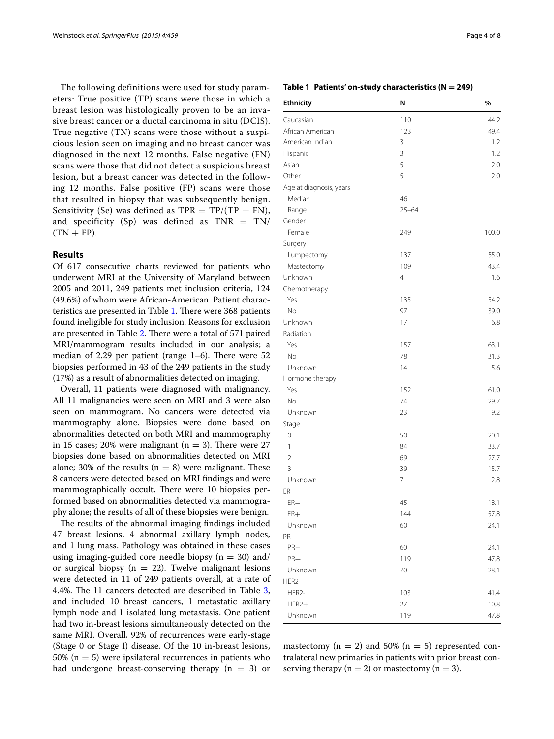The following definitions were used for study parameters: True positive (TP) scans were those in which a breast lesion was histologically proven to be an invasive breast cancer or a ductal carcinoma in situ (DCIS). True negative (TN) scans were those without a suspicious lesion seen on imaging and no breast cancer was diagnosed in the next 12 months. False negative (FN) scans were those that did not detect a suspicious breast lesion, but a breast cancer was detected in the following 12 months. False positive (FP) scans were those that resulted in biopsy that was subsequently benign. Sensitivity (Se) was defined as  $TPR = TP/(TP + FN)$ , and specificity (Sp) was defined as  $TNR = TN/$  $(TN + FP)$ .

#### **Results**

Of 617 consecutive charts reviewed for patients who underwent MRI at the University of Maryland between 2005 and 2011, 249 patients met inclusion criteria, 124 (49.6%) of whom were African-American. Patient characteristics are presented in Table [1.](#page-3-0) There were 368 patients found ineligible for study inclusion. Reasons for exclusion are presented in Table [2](#page-4-0). There were a total of 571 paired MRI/mammogram results included in our analysis; a median of 2.29 per patient (range 1–6). There were 52 biopsies performed in 43 of the 249 patients in the study (17%) as a result of abnormalities detected on imaging.

Overall, 11 patients were diagnosed with malignancy. All 11 malignancies were seen on MRI and 3 were also seen on mammogram. No cancers were detected via mammography alone. Biopsies were done based on abnormalities detected on both MRI and mammography in 15 cases; 20% were malignant ( $n = 3$ ). There were 27 biopsies done based on abnormalities detected on MRI alone; 30% of the results  $(n = 8)$  were malignant. These 8 cancers were detected based on MRI findings and were mammographically occult. There were 10 biopsies performed based on abnormalities detected via mammography alone; the results of all of these biopsies were benign.

The results of the abnormal imaging findings included 47 breast lesions, 4 abnormal axillary lymph nodes, and 1 lung mass. Pathology was obtained in these cases using imaging-guided core needle biopsy  $(n = 30)$  and/ or surgical biopsy ( $n = 22$ ). Twelve malignant lesions were detected in 11 of 249 patients overall, at a rate of 4.4%. The 11 cancers detected are described in Table [3](#page-4-1), and included 10 breast cancers, 1 metastatic axillary lymph node and 1 isolated lung metastasis. One patient had two in-breast lesions simultaneously detected on the same MRI. Overall, 92% of recurrences were early-stage (Stage 0 or Stage I) disease. Of the 10 in-breast lesions, 50% ( $n = 5$ ) were ipsilateral recurrences in patients who had undergone breast-conserving therapy  $(n = 3)$  or

## <span id="page-3-0"></span>**Table 1 Patients' on-study characteristics (N = 249)**

| <b>Ethnicity</b>        | N         | %     |
|-------------------------|-----------|-------|
| Caucasian               | 110       | 44.2  |
| African American        | 123       | 49.4  |
| American Indian         | 3         | 1.2   |
| Hispanic                | 3         | 1.2   |
| Asian                   | 5         | 2.0   |
| Other                   | 5         | 2.0   |
| Age at diagnosis, years |           |       |
| Median                  | 46        |       |
| Range                   | $25 - 64$ |       |
| Gender                  |           |       |
| Female                  | 249       | 100.0 |
| Surgery                 |           |       |
| Lumpectomy              | 137       | 55.0  |
| Mastectomy              | 109       | 43.4  |
| Unknown                 | 4         | 1.6   |
| Chemotherapy            |           |       |
| Yes                     | 135       | 54.2  |
| No                      | 97        | 39.0  |
| Unknown                 | 17        | 6.8   |
| Radiation               |           |       |
| Yes                     | 157       | 63.1  |
| No                      | 78        | 31.3  |
| Unknown                 | 14        | 5.6   |
| Hormone therapy         |           |       |
| Yes                     | 152       | 61.0  |
| No                      | 74        | 29.7  |
| Unknown                 | 23        | 9.2   |
| Stage                   |           |       |
| $\mathbf 0$             | 50        | 20.1  |
| 1                       | 84        | 33.7  |
| 2                       | 69        | 27.7  |
| 3                       | 39        | 15.7  |
| Unknown                 | 7         | 2.8   |
| ER                      |           |       |
| $ER-$                   | 45        | 18.1  |
| $ER+$                   | 144       | 57.8  |
| Unknown                 | 60        | 24.1  |
| PR                      |           |       |
| PR-                     | 60        | 24.1  |
| PR+                     | 119       | 47.8  |
| Unknown                 | 70        | 28.1  |
| HER2                    |           |       |
| HER2-                   | 103       | 41.4  |
| HER2+                   | 27        | 10.8  |
| Unknown                 | 119       | 47.8  |

mastectomy ( $n = 2$ ) and 50% ( $n = 5$ ) represented contralateral new primaries in patients with prior breast conserving therapy  $(n = 2)$  or mastectomy  $(n = 3)$ .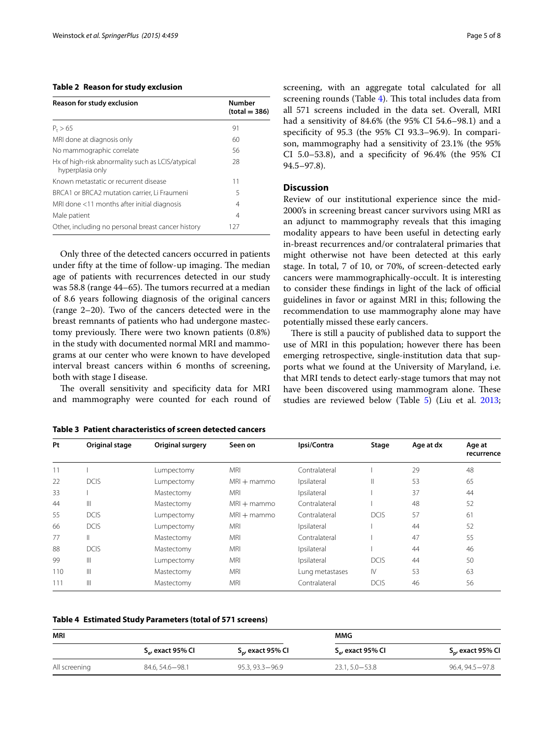### <span id="page-4-0"></span>**Table 2 Reason for study exclusion**

| Reason for study exclusion                                            | <b>Number</b><br>$(total = 386)$ |
|-----------------------------------------------------------------------|----------------------------------|
| $P_+ > 65$                                                            | 91                               |
| MRI done at diagnosis only                                            | 60                               |
| No mammographic correlate                                             | 56                               |
| Hx of high-risk abnormality such as LCIS/atypical<br>hyperplasia only | 28                               |
| Known metastatic or recurrent disease                                 | 11                               |
| BRCA1 or BRCA2 mutation carrier, Li Fraumeni                          | 5                                |
| MRI done <11 months after initial diagnosis                           | 4                                |
| Male patient                                                          | 4                                |
| Other, including no personal breast cancer history                    | 127                              |
|                                                                       |                                  |

Only three of the detected cancers occurred in patients under fifty at the time of follow-up imaging. The median age of patients with recurrences detected in our study was 58.8 (range 44–65). The tumors recurred at a median of 8.6 years following diagnosis of the original cancers (range 2–20). Two of the cancers detected were in the breast remnants of patients who had undergone mastectomy previously. There were two known patients (0.8%) in the study with documented normal MRI and mammograms at our center who were known to have developed interval breast cancers within 6 months of screening, both with stage I disease.

The overall sensitivity and specificity data for MRI and mammography were counted for each round of

<span id="page-4-1"></span>

|  | Table 3 Patient characteristics of screen detected cancers |
|--|------------------------------------------------------------|
|  |                                                            |

screening, with an aggregate total calculated for all screening rounds (Table [4\)](#page-4-2). This total includes data from all 571 screens included in the data set. Overall, MRI had a sensitivity of 84.6% (the 95% CI 54.6–98.1) and a specificity of 95.3 (the 95% CI 93.3–96.9). In comparison, mammography had a sensitivity of 23.1% (the 95% CI 5.0–53.8), and a specificity of 96.4% (the 95% CI 94.5–97.8).

## **Discussion**

Review of our institutional experience since the mid-2000's in screening breast cancer survivors using MRI as an adjunct to mammography reveals that this imaging modality appears to have been useful in detecting early in-breast recurrences and/or contralateral primaries that might otherwise not have been detected at this early stage. In total, 7 of 10, or 70%, of screen-detected early cancers were mammographically-occult. It is interesting to consider these findings in light of the lack of official guidelines in favor or against MRI in this; following the recommendation to use mammography alone may have potentially missed these early cancers.

There is still a paucity of published data to support the use of MRI in this population; however there has been emerging retrospective, single-institution data that supports what we found at the University of Maryland, i.e. that MRI tends to detect early-stage tumors that may not have been discovered using mammogram alone. These studies are reviewed below (Table [5](#page-5-0)) (Liu et al. [2013](#page-7-9);

| Pt  | Original stage | <b>Original surgery</b> | Seen on       | Ipsi/Contra     | Stage        | Age at dx | Age at<br>recurrence |
|-----|----------------|-------------------------|---------------|-----------------|--------------|-----------|----------------------|
| 11  |                | Lumpectomy              | <b>MRI</b>    | Contralateral   |              | 29        | 48                   |
| 22  | <b>DCIS</b>    | Lumpectomy              | $MRI + mammo$ | Ipsilateral     | Ш            | 53        | 65                   |
| 33  |                | Mastectomy              | <b>MRI</b>    | Ipsilateral     |              | 37        | 44                   |
| 44  | $\mathbb{H}$   | Mastectomy              | $MRI + mammo$ | Contralateral   |              | 48        | 52                   |
| 55  | <b>DCIS</b>    | Lumpectomy              | $MRI + mammo$ | Contralateral   | <b>DCIS</b>  | 57        | 61                   |
| 66  | <b>DCIS</b>    | Lumpectomy              | <b>MRI</b>    | Ipsilateral     |              | 44        | 52                   |
| 77  | $\mathbf{  }$  | Mastectomy              | <b>MRI</b>    | Contralateral   |              | 47        | 55                   |
| 88  | <b>DCIS</b>    | Mastectomy              | <b>MRI</b>    | Ipsilateral     |              | 44        | 46                   |
| 99  | $\mathbb{H}$   | Lumpectomy              | <b>MRI</b>    | Ipsilateral     | <b>DCIS</b>  | 44        | 50                   |
| 110 | $\mathbf{III}$ | Mastectomy              | <b>MRI</b>    | Lung metastases | $\mathsf{N}$ | 53        | 63                   |
| 111 | $\mathbb{H}$   | Mastectomy              | <b>MRI</b>    | Contralateral   | <b>DCIS</b>  | 46        | 56                   |

#### <span id="page-4-2"></span>**Table 4 Estimated Study Parameters (total of 571 screens)**

| MRI           |                             |                           | MMG                         |                           |  |
|---------------|-----------------------------|---------------------------|-----------------------------|---------------------------|--|
|               | $S_{\omega}$ , exact 95% Cl | $S_{\rm ny}$ exact 95% CI | $S_{\omega}$ , exact 95% Cl | $S_{\rm ny}$ exact 95% CI |  |
| All screening | 84.6, 54.6 - 98.1           | $95.3.93.3 - 96.9$        | $23.1.5.0 - 53.8$           | 96.4.94.5-97.8            |  |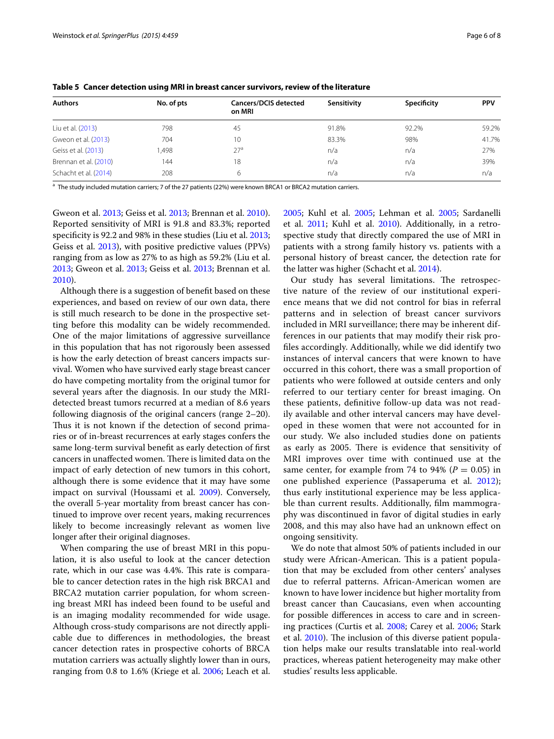| <b>Authors</b>        | No. of pts | <b>Cancers/DCIS detected</b><br>on MRI | Sensitivity | Specificity | <b>PPV</b> |
|-----------------------|------------|----------------------------------------|-------------|-------------|------------|
| Liu et al. (2013)     | 798        | 45                                     | 91.8%       | 92.2%       | 59.2%      |
| Gweon et al. (2013)   | 704        | 10                                     | 83.3%       | 98%         | 41.7%      |
| Geiss et al. (2013)   | 1,498      | 27 <sup>a</sup>                        | n/a         | n/a         | 27%        |
| Brennan et al. (2010) | 144        | 18                                     | n/a         | n/a         | 39%        |
| Schacht et al. (2014) | 208        | 6                                      | n/a         | n/a         | n/a        |
|                       |            |                                        |             |             |            |

<span id="page-5-0"></span>**Table 5 Cancer detection using MRI in breast cancer survivors, review of the literature**

<sup>a</sup> The study included mutation carriers; 7 of the 27 patients (22%) were known BRCA1 or BRCA2 mutation carriers.

Gweon et al. [2013](#page-6-20); Geiss et al. [2013](#page-6-21); Brennan et al. [2010](#page-6-22)). Reported sensitivity of MRI is 91.8 and 83.3%; reported specificity is 92.2 and 98% in these studies (Liu et al. [2013](#page-7-9); Geiss et al. [2013](#page-6-21)), with positive predictive values (PPVs) ranging from as low as 27% to as high as 59.2% (Liu et al. [2013](#page-7-9); Gweon et al. [2013;](#page-6-20) Geiss et al. [2013](#page-6-21); Brennan et al. [2010](#page-6-22)).

Although there is a suggestion of benefit based on these experiences, and based on review of our own data, there is still much research to be done in the prospective setting before this modality can be widely recommended. One of the major limitations of aggressive surveillance in this population that has not rigorously been assessed is how the early detection of breast cancers impacts survival. Women who have survived early stage breast cancer do have competing mortality from the original tumor for several years after the diagnosis. In our study the MRIdetected breast tumors recurred at a median of 8.6 years following diagnosis of the original cancers (range 2–20). Thus it is not known if the detection of second primaries or of in-breast recurrences at early stages confers the same long-term survival benefit as early detection of first cancers in unaffected women. There is limited data on the impact of early detection of new tumors in this cohort, although there is some evidence that it may have some impact on survival (Houssami et al. [2009\)](#page-6-23). Conversely, the overall 5-year mortality from breast cancer has continued to improve over recent years, making recurrences likely to become increasingly relevant as women live longer after their original diagnoses.

When comparing the use of breast MRI in this population, it is also useful to look at the cancer detection rate, which in our case was 4.4%. This rate is comparable to cancer detection rates in the high risk BRCA1 and BRCA2 mutation carrier population, for whom screening breast MRI has indeed been found to be useful and is an imaging modality recommended for wide usage. Although cross-study comparisons are not directly applicable due to differences in methodologies, the breast cancer detection rates in prospective cohorts of BRCA mutation carriers was actually slightly lower than in ours, ranging from 0.8 to 1.6% (Kriege et al. [2006;](#page-6-24) Leach et al. [2005](#page-6-16); Kuhl et al. [2005;](#page-6-14) Lehman et al. [2005](#page-7-8); Sardanelli et al. [2011](#page-7-10); Kuhl et al. [2010\)](#page-6-25). Additionally, in a retrospective study that directly compared the use of MRI in patients with a strong family history vs. patients with a personal history of breast cancer, the detection rate for the latter was higher (Schacht et al. [2014](#page-7-11)).

Our study has several limitations. The retrospective nature of the review of our institutional experience means that we did not control for bias in referral patterns and in selection of breast cancer survivors included in MRI surveillance; there may be inherent differences in our patients that may modify their risk profiles accordingly. Additionally, while we did identify two instances of interval cancers that were known to have occurred in this cohort, there was a small proportion of patients who were followed at outside centers and only referred to our tertiary center for breast imaging. On these patients, definitive follow-up data was not readily available and other interval cancers may have developed in these women that were not accounted for in our study. We also included studies done on patients as early as 2005. There is evidence that sensitivity of MRI improves over time with continued use at the same center, for example from 74 to 94% ( $P = 0.05$ ) in one published experience (Passaperuma et al. [2012](#page-7-12)); thus early institutional experience may be less applicable than current results. Additionally, film mammography was discontinued in favor of digital studies in early 2008, and this may also have had an unknown effect on ongoing sensitivity.

We do note that almost 50% of patients included in our study were African-American. This is a patient population that may be excluded from other centers' analyses due to referral patterns. African-American women are known to have lower incidence but higher mortality from breast cancer than Caucasians, even when accounting for possible differences in access to care and in screening practices (Curtis et al. [2008;](#page-6-26) Carey et al. [2006;](#page-6-27) Stark et al. [2010](#page-7-13)). The inclusion of this diverse patient population helps make our results translatable into real-world practices, whereas patient heterogeneity may make other studies' results less applicable.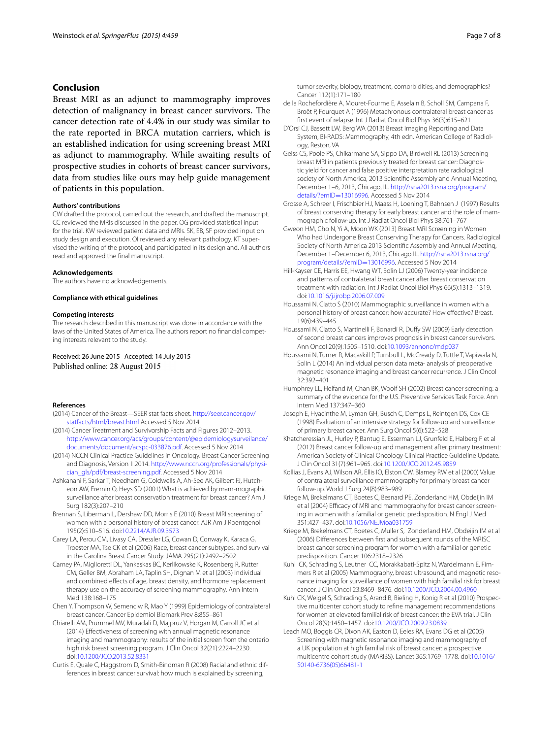#### **Conclusion**

Breast MRI as an adjunct to mammography improves detection of malignancy in breast cancer survivors. The cancer detection rate of 4.4% in our study was similar to the rate reported in BRCA mutation carriers, which is an established indication for using screening breast MRI as adjunct to mammography. While awaiting results of prospective studies in cohorts of breast cancer survivors, data from studies like ours may help guide management of patients in this population.

#### **Authors' contributions**

CW drafted the protocol, carried out the research, and drafted the manuscript. CC reviewed the MRIs discussed in the paper. OG provided statistical input for the trial. KW reviewed patient data and MRIs. SK, EB, SF provided input on study design and execution. OI reviewed any relevant pathology. KT supervised the writing of the protocol, and participated in its design and. All authors read and approved the final manuscript.

#### **Acknowledgements**

The authors have no acknowledgements.

#### **Compliance with ethical guidelines**

#### **Competing interests**

The research described in this manuscript was done in accordance with the laws of the United States of America. The authors report no financial competing interests relevant to the study.

Received: 26 June 2015 Accepted: 14 July 2015 Published online: 28 August 2015

#### **References**

- <span id="page-6-0"></span>(2014) Cancer of the Breast—SEER stat facts sheet. [http://seer.cancer.gov/](http://seer.cancer.gov/statfacts/html/breast.html) [statfacts/html/breast.html](http://seer.cancer.gov/statfacts/html/breast.html) Accessed 5 Nov 2014
- <span id="page-6-5"></span>(2014) Cancer Treatment and Survivorship Facts and Figures 2012–2013. [http://www.cancer.org/acs/groups/content/@epidemiologysurveilance/](http://www.cancer.org/acs/groups/content/%40epidemiologysurveilance/documents/document/acspc-033876.pdf) [documents/document/acspc-033876.pdf](http://www.cancer.org/acs/groups/content/%40epidemiologysurveilance/documents/document/acspc-033876.pdf). Accessed 5 Nov 2014
- <span id="page-6-3"></span>(2014) NCCN Clinical Practice Guidelines in Oncology. Breast Cancer Screening and Diagnosis, Version 1.2014. [http://www.nccn.org/professionals/physi](http://www.nccn.org/professionals/physician_gls/pdf/breast-screening.pdf)[cian\\_gls/pdf/breast-screening.pdf.](http://www.nccn.org/professionals/physician_gls/pdf/breast-screening.pdf) Accessed 5 Nov 2014
- <span id="page-6-9"></span>Ashkanani F, Sarkar T, Needham G, Coldwells A, Ah-See AK, Gilbert FJ, Hutcheon AW, Eremin O, Heys SD (2001) What is achieved by mam-mographic surveillance after breast conservation treatment for breast cancer? Am J Surg 182(3):207–210
- <span id="page-6-22"></span>Brennan S, Liberman L, Dershaw DD, Morris E (2010) Breast MRI screening of women with a personal history of breast cancer. AJR Am J Roentgenol 195(2):510–516. doi[:10.2214/AJR.09.3573](http://dx.doi.org/10.2214/AJR.09.3573)
- <span id="page-6-27"></span>Carey LA, Perou CM, Livasy CA, Dressler LG, Cowan D, Conway K, Karaca G, Troester MA, Tse CK et al (2006) Race, breast cancer subtypes, and survival in the Carolina Breast Cancer Study. JAMA 295(21):2492–2502
- <span id="page-6-7"></span>Carney PA, Miglioretti DL, Yankaskas BC, Kerlikowske K, Rosenberg R, Rutter CM, Geller BM, Abraham LA, Taplin SH, Dignan M et al (2003) Individual and combined effects of age, breast density, and hormone replacement therapy use on the accuracy of screening mammography. Ann Intern Med 138:168–175
- <span id="page-6-1"></span>Chen Y, Thompson W, Semenciw R, Mao Y (1999) Epidemiology of contralateral breast cancer. Cancer Epidemiol Biomark Prev 8:855–861
- <span id="page-6-17"></span>Chiarelli AM, Prummel MV, Muradali D, Majpruz V, Horgan M, Carroll JC et al (2014) Effectiveness of screening with annual magnetic resonance imaging and mammography: results of the initial screen from the ontario high risk breast screening program. J Clin Oncol 32(21):2224–2230. doi:[10.1200/JCO.2013.52.8331](http://dx.doi.org/10.1200/JCO.2013.52.8331)
- <span id="page-6-26"></span>Curtis E, Quale C, Haggstrom D, Smith-Bindman R (2008) Racial and ethnic differences in breast cancer survival: how much is explained by screening,

tumor severity, biology, treatment, comorbidities, and demographics? Cancer 112(1):171–180

- <span id="page-6-11"></span>de la Rochefordière A, Mouret-Fourme E, Asselain B, Scholl SM, Campana F, Broët P, Fourquet A (1996) Metachronous contralateral breast cancer as first event of relapse. Int J Radiat Oncol Biol Phys 36(3):615–621
- <span id="page-6-19"></span>D'Orsi CJ, Bassett LW, Berg WA (2013) Breast Imaging Reporting and Data System, BI-RADS: Mammography, 4th edn. American College of Radiology, Reston, VA
- <span id="page-6-21"></span>Geiss CS, Poole PS, Chikarmane SA, Sippo DA, Birdwell RL (2013) Screening breast MRI in patients previously treated for breast cancer: Diagnostic yield for cancer and false positive interpretation rate radiological society of North America, 2013 Scientific Assembly and Annual Meeting, December 1–6, 2013, Chicago, IL. [http://rsna2013.rsna.org/program/](http://rsna2013.rsna.org/program/details/?emID=13016996) [details/?emID](http://rsna2013.rsna.org/program/details/?emID=13016996)=13016996. Accessed 5 Nov 2014
- <span id="page-6-8"></span>Grosse A, Schreer I, Frischbier HJ, Maass H, Loening T, Bahnsen J (1997) Results of breast conserving therapy for early breast cancer and the role of mammographic follow-up. Int J Radiat Oncol Biol Phys 38:761–767
- <span id="page-6-20"></span>Gweon HM, Cho N, Yi A, Moon WK (2013) Breast MRI Screening in Women Who had Undergone Breast Conserving Therapy for Cancers. Radiological Society of North America 2013 Scientific Assembly and Annual Meeting, December 1–December 6, 2013, Chicago IL. [http://rsna2013.rsna.org/](http://rsna2013.rsna.org/program/details/?emID=13016996) [program/details/?emID](http://rsna2013.rsna.org/program/details/?emID=13016996)=13016996. Accessed 5 Nov 2014
- <span id="page-6-13"></span>Hill-Kayser CE, Harris EE, Hwang WT, Solin LJ (2006) Twenty-year incidence and patterns of contralateral breast cancer after breast conservation treatment with radiation. Int J Radiat Oncol Biol Phys 66(5):1313–1319. doi:[10.1016/j.ijrobp.2006.07.009](http://dx.doi.org/10.1016/j.ijrobp.2006.07.009)
- <span id="page-6-4"></span>Houssami N, Ciatto S (2010) Mammographic surveillance in women with a personal history of breast cancer: how accurate? How effective? Breast. 19(6):439–445
- <span id="page-6-23"></span>Houssami N, Ciatto S, Martinelli F, Bonardi R, Duffy SW (2009) Early detection of second breast cancers improves prognosis in breast cancer survivors. Ann Oncol 20(9):1505–1510. doi:[10.1093/annonc/mdp037](http://dx.doi.org/10.1093/annonc/mdp037)
- <span id="page-6-18"></span>Houssami N, Turner R, Macaskill P, Turnbull L, McCready D, Tuttle T, Vapiwala N, Solin L (2014) An individual person data meta- analysis of preoperative magnetic resonance imaging and breast cancer recurrence. J Clin Oncol 32:392–401
- <span id="page-6-6"></span>Humphrey LL, Helfand M, Chan BK, Woolf SH (2002) Breast cancer screening: a summary of the evidence for the U.S. Preventive Services Task Force. Ann Intern Med 137:347–360
- <span id="page-6-10"></span>Joseph E, Hyacinthe M, Lyman GH, Busch C, Demps L, Reintgen DS, Cox CE (1998) Evaluation of an intensive strategy for follow-up and surveillance of primary breast cancer. Ann Surg Oncol 5(6):522–528
- <span id="page-6-2"></span>Khatcheressian JL, Hurley P, Bantug E, Esserman LJ, Grunfeld E, Halberg F et al (2012) Breast cancer follow-up and management after primary treatment: American Society of Clinical Oncology Clinical Practice Guideline Update. J Clin Oncol 31(7):961–965. doi:[10.1200/JCO.2012.45.9859](http://dx.doi.org/10.1200/JCO.2012.45.9859)
- <span id="page-6-12"></span>Kollias J, Evans AJ, Wilson AR, Ellis IO, Elston CW, Blamey RW et al (2000) Value of contralateral surveillance mammography for primary breast cancer follow-up. World J Surg 24(8):983–989
- <span id="page-6-15"></span>Kriege M, Brekelmans CT, Boetes C, Besnard PE, Zonderland HM, Obdeijin IM et al (2004) Efficacy of MRI and mammography for breast cancer screening in women with a familial or genetic predisposition. N Engl J Med 351:427–437. doi:[10.1056/NEJMoa031759](http://dx.doi.org/10.1056/NEJMoa031759)
- <span id="page-6-24"></span>Kriege M, Brekelmans CT, Boetes C, Muller S, Zonderland HM, Obdeijin IM et al (2006) Differences between first and subsequent rounds of the MRISC breast cancer screening program for women with a familial or genetic predisposition. Cancer 106:2318–2326
- <span id="page-6-14"></span>Kuhl CK, Schrading S, Leutner CC, Morakkabati-Spitz N, Wardelmann E, Fimmers R et al (2005) Mammography, breast ultrasound, and magnetic resonance imaging for surveillance of women with high familial risk for breast cancer. J Clin Oncol 23:8469–8476. doi:[10.1200/JCO.2004.00.4960](http://dx.doi.org/10.1200/JCO.2004.00.4960)
- <span id="page-6-25"></span>Kuhl CK, Weigel S, Schrading S, Arand B, Bieling H, Konig R et al (2010) Prospective multicenter cohort study to refine management recommendations for women at elevated familial risk of breast cancer: the EVA trial. J Clin Oncol 28(9):1450–1457. doi:[10.1200/JCO.2009.23.0839](http://dx.doi.org/10.1200/JCO.2009.23.0839)
- <span id="page-6-16"></span>Leach MO, Boggis CR, Dixon AK, Easton D, Eeles RA, Evans DG et al (2005) Screening with magnetic resonance imaging and mammography of a UK population at high familial risk of breast cancer: a prospective multicentre cohort study (MARIBS). Lancet 365:1769–1778. doi[:10.1016/](http://dx.doi.org/10.1016/S0140-6736(05)66481-1) [S0140-6736\(05\)66481-1](http://dx.doi.org/10.1016/S0140-6736(05)66481-1)